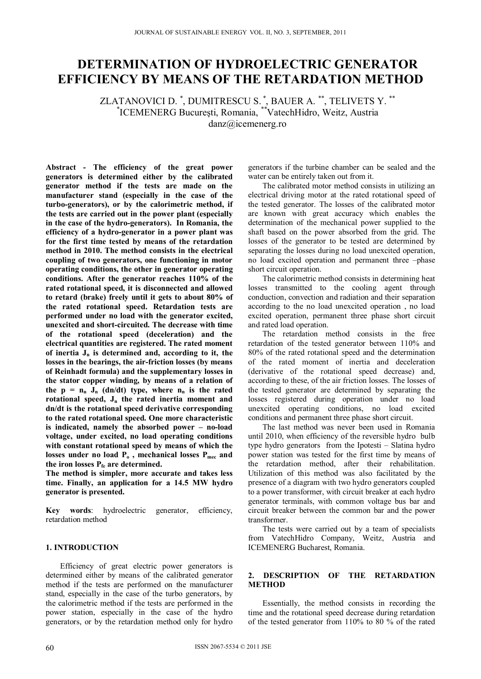# **DETERMINATION OF HYDROELECTRIC GENERATOR EFFICIENCY BY MEANS OF THE RETARDATION METHOD**

ZLATANOVICI D.  $\degree$ , DUMITRESCU S.  $\degree$ , BAUER A.  $\degree^*$ , TELIVETS Y.  $\degree^*$ \* ICEMENERG Bucureşti, Romania, \*\*VatechHidro, Weitz, Austria danz@icemenerg.ro

**Abstract - The efficiency of the great power generators is determined either by the calibrated generator method if the tests are made on the manufacturer stand (especially in the case of the turbo-generators), or by the calorimetric method, if the tests are carried out in the power plant (especially in the case of the hydro-generators). In Romania, the efficiency of a hydro-generator in a power plant was for the first time tested by means of the retardation method in 2010. The method consists in the electrical coupling of two generators, one functioning in motor operating conditions, the other in generator operating conditions. After the generator reaches 110% of the rated rotational speed, it is disconnected and allowed to retard (brake) freely until it gets to about 80% of the rated rotational speed. Retardation tests are performed under no load with the generator excited, unexcited and short-circuited. The decrease with time of the rotational speed (deceleration) and the electrical quantities are registered. The rated moment**  of inertia  $J_n$  is determined and, according to it, the **losses in the bearings, the air-friction losses (by means of Reinhadt formula) and the supplementary losses in the stator copper winding, by means of a relation of**  the  $p = n_n$  J<sub>n</sub> (dn/dt) type, where  $n_n$  is the rated rotational speed,  $J_n$  the rated inertia moment and **dn/dt is the rotational speed derivative corresponding to the rated rotational speed. One more characteristic is indicated, namely the absorbed power – no-load voltage, under excited, no load operating conditions with constant rotational speed by means of which the**  losses under no load  $P_0$ , mechanical losses  $P_{\text{mer}}$  and the iron losses  $P_{fe}$  are determined.

**The method is simpler, more accurate and takes less time. Finally, an application for a 14.5 MW hydro generator is presented.** 

**Key words**: hydroelectric generator, efficiency, retardation method

# **1. INTRODUCTION**

Efficiency of great electric power generators is determined either by means of the calibrated generator method if the tests are performed on the manufacturer stand, especially in the case of the turbo generators, by the calorimetric method if the tests are performed in the power station, especially in the case of the hydro generators, or by the retardation method only for hydro

generators if the turbine chamber can be sealed and the water can be entirely taken out from it.

The calibrated motor method consists in utilizing an electrical driving motor at the rated rotational speed of the tested generator. The losses of the calibrated motor are known with great accuracy which enables the determination of the mechanical power supplied to the shaft based on the power absorbed from the grid. The losses of the generator to be tested are determined by separating the losses during no load unexcited operation, no load excited operation and permanent three –phase short circuit operation.

The calorimetric method consists in determining heat losses transmitted to the cooling agent through conduction, convection and radiation and their separation according to the no load unexcited operation , no load excited operation, permanent three phase short circuit and rated load operation.

The retardation method consists in the free retardation of the tested generator between 110% and 80% of the rated rotational speed and the determination of the rated moment of inertia and deceleration (derivative of the rotational speed decrease) and, according to these, of the air friction losses. The losses of the tested generator are determined by separating the losses registered during operation under no load unexcited operating conditions, no load excited conditions and permanent three phase short circuit.

The last method was never been used in Romania until 2010, when efficiency of the reversible hydro bulb type hydro generators from the Ipotesti – Slatina hydro power station was tested for the first time by means of the retardation method, after their rehabilitation. Utilization of this method was also facilitated by the presence of a diagram with two hydro generators coupled to a power transformer, with circuit breaker at each hydro generator terminals, with common voltage bus bar and circuit breaker between the common bar and the power transformer.

The tests were carried out by a team of specialists from VatechHidro Company, Weitz, Austria and ICEMENERG Bucharest, Romania.

# **2. DESCRIPTION OF THE RETARDATION METHOD**

Essentially, the method consists in recording the time and the rotational speed decrease during retardation of the tested generator from 110% to 80 % of the rated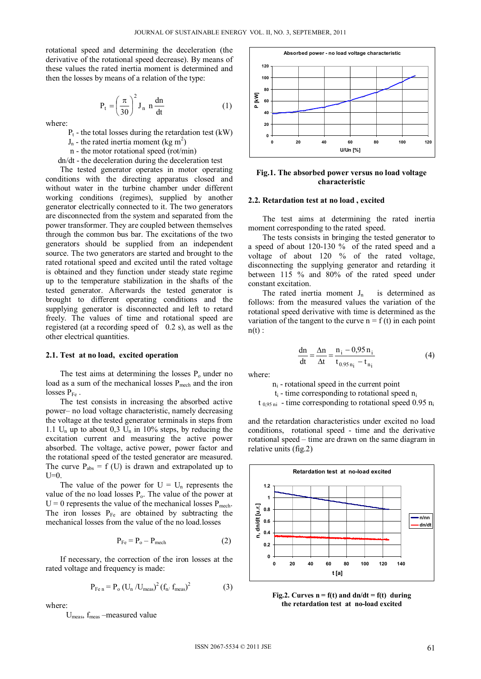rotational speed and determining the deceleration (the derivative of the rotational speed decrease). By means of these values the rated inertia moment is determined and then the losses by means of a relation of the type:

$$
P_t = \left(\frac{\pi}{30}\right)^2 J_n \, n \frac{dn}{dt} \tag{1}
$$

where:

 $P_t$  - the total losses during the retardation test (kW)

- $J_n$  the rated inertia moment (kg m<sup>2</sup>)
	- n the motor rotational speed (rot/min)

dn/dt - the deceleration during the deceleration test

The tested generator operates in motor operating conditions with the directing apparatus closed and without water in the turbine chamber under different working conditions (regimes), supplied by another generator electrically connected to it. The two generators are disconnected from the system and separated from the power transformer. They are coupled between themselves through the common bus bar. The excitations of the two generators should be supplied from an independent source. The two generators are started and brought to the rated rotational speed and excited until the rated voltage is obtained and they function under steady state regime up to the temperature stabilization in the shafts of the tested generator. Afterwards the tested generator is brought to different operating conditions and the supplying generator is disconnected and left to retard freely. The values of time and rotational speed are registered (at a recording speed of 0.2 s), as well as the other electrical quantities.

#### **2.1. Test at no load, excited operation**

The test aims at determining the losses  $P_0$  under no load as a sum of the mechanical losses  $P_{mech}$  and the iron losses  $P_{Fe}$ .

The test consists in increasing the absorbed active power– no load voltage characteristic, namely decreasing the voltage at the tested generator terminals in steps from 1.1 U<sub>n</sub> up to about 0,3 U<sub>n</sub> in 10% steps, by reducing the excitation current and measuring the active power absorbed. The voltage, active power, power factor and the rotational speed of the tested generator are measured. The curve  $P_{\text{abs}} = f(U)$  is drawn and extrapolated up to  $U=0$ .

The value of the power for  $U = U_n$  represents the value of the no load losses  $P_0$ . The value of the power at  $U = 0$  represents the value of the mechanical losses  $P_{\text{mech}}$ . The iron losses  $P_{Fe}$  are obtained by subtracting the mechanical losses from the value of the no load.losses

$$
P_{Fe} = P_o - P_{mech}
$$
 (2)

If necessary, the correction of the iron losses at the rated voltage and frequency is made:

$$
P_{\text{Fe n}} = P_{o} (U_{n} / U_{\text{meas}})^{2} (f_{n} / f_{\text{meas}})^{2}
$$
 (3)

where:

Umeas, fmeas –measured value



**Fig.1. The absorbed power versus no load voltage characteristic** 

## **2.2. Retardation test at no load , excited**

The test aims at determining the rated inertia moment corresponding to the rated speed.

The tests consists in bringing the tested generator to a speed of about 120-130 % of the rated speed and a voltage of about 120 % of the rated voltage, disconnecting the supplying generator and retarding it between 115 % and 80% of the rated speed under constant excitation.

The rated inertia moment  $J_n$  is determined as follows: from the measured values the variation of the rotational speed derivative with time is determined as the variation of the tangent to the curve  $n = f(t)$  in each point  $n(t)$ :

$$
\frac{dn}{dt} = \frac{\Delta n}{\Delta t} = \frac{n_i - 0.95 n_i}{t_{0.95 n_i} - t_{n_i}}
$$
(4)

where:

 $n<sub>i</sub>$  - rotational speed in the current point

 $t_i$  - time corresponding to rotational speed  $n_i$ 

 $t_{0.95 \text{ ni}}$  - time corresponding to rotational speed 0.95  $n_i$ 

and the retardation characteristics under excited no load conditions, rotational speed - time and the derivative rotational speed – time are drawn on the same diagram in relative units (fig.2)



Fig.2. Curves  $n = f(t)$  and  $dn/dt = f(t)$  during **the retardation test at no-load excited**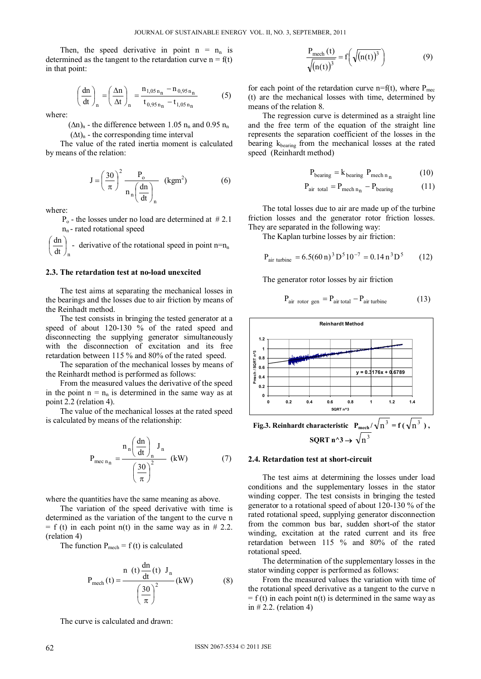Then, the speed derivative in point  $n = n_n$  is determined as the tangent to the retardation curve  $n = f(t)$ in that point:

$$
\left(\frac{dn}{dt}\right)_n = \left(\frac{\Delta n}{\Delta t}\right)_n = \frac{n_{1,05 n_n} - n_{0,95 n_n}}{t_{0,95 n_n} - t_{1,05 n_n}}
$$
(5)

where:

 $(\Delta n)_n$  - the difference between 1.05  $n_n$  and 0.95  $n_n$ 

 $(\Delta t)_{n}$  - the corresponding time interval

The value of the rated inertia moment is calculated by means of the relation:

$$
J = \left(\frac{30}{\pi}\right)^2 \frac{P_o}{n_n \left(\frac{dn}{dt}\right)_n} \quad (kgm^2)
$$
 (6)

where:

 $P<sub>o</sub>$  - the losses under no load are determined at #2.1  $n_n$ - rated rotational speed

 $dt \big|_{n}$  $\frac{dn}{dt}$  $\bigg)$  $\left(\frac{dn}{dt}\right)$  $\overline{\phantom{0}}$  $\left(\frac{dn}{dt}\right)$  - derivative of the rotational speed in point n=n<sub>n</sub>

## **2.3. The retardation test at no-load unexcited**

The test aims at separating the mechanical losses in the bearings and the losses due to air friction by means of the Reinhadt method.

The test consists in bringing the tested generator at a speed of about 120-130 % of the rated speed and disconnecting the supplying generator simultaneously with the disconnection of excitation and its free retardation between 115 % and 80% of the rated speed.

The separation of the mechanical losses by means of the Reinhardt method is performed as follows:

From the measured values the derivative of the speed in the point  $n = n_n$  is determined in the same way as at point 2.2 (relation 4).

The value of the mechanical losses at the rated speed is calculated by means of the relationship:

$$
P_{\text{mec n}_n} = \frac{n_n \left(\frac{dn}{dt}\right)_n J_n}{\left(\frac{30}{\pi}\right)^2} \text{ (kW)} \tag{7}
$$

where the quantities have the same meaning as above.

The variation of the speed derivative with time is determined as the variation of the tangent to the curve n  $= f(t)$  in each point n(t) in the same way as in # 2.2. (relation 4)

The function  $P_{\text{mech}} = f(t)$  is calculated

$$
P_{\text{mech}}(t) = \frac{n(t)\frac{dn}{dt}(t) J_n}{\left(\frac{30}{\pi}\right)^2} \text{(kW)}
$$
 (8)

The curve is calculated and drawn:

$$
\frac{P_{\text{mech}}(t)}{\sqrt{(n(t))^{3}}} = f\left(\sqrt{(n(t))^{3}}\right)
$$
\n(9)

for each point of the retardation curve  $n=f(t)$ , where  $P_{\text{mec}}$ (t) are the mechanical losses with time, determined by means of the relation 8.

The regression curve is determined as a straight line and the free term of the equation of the straight line represents the separation coefficient of the losses in the bearing  $k_{\text{bearing}}$  from the mechanical losses at the rated speed (Reinhardt method)

$$
P_{\text{bearing}} = k_{\text{bearing}} P_{\text{mech n}_{n}} \tag{10}
$$

$$
P_{\text{air total}} = P_{\text{mech n}_{n}} - P_{\text{bearing}} \tag{11}
$$

The total losses due to air are made up of the turbine friction losses and the generator rotor friction losses. They are separated in the following way:

The Kaplan turbine losses by air friction:

$$
P_{air \,\text{turbine}} = 6.5(60 \,\text{n})^3 \,\text{D}^5 \, 10^{-7} = 0.14 \,\text{n}^3 \,\text{D}^5 \tag{12}
$$

The generator rotor losses by air friction

$$
P_{air\ rotor\ gen} = P_{air\ total} - P_{air\ turbine} \tag{13}
$$



**Fig.3. Reinhardt characteristic**  $P_{\text{mech}} / \sqrt{n^3} = f(\sqrt{n^3})$ **,**  $\text{SQRT}$  n^3  $\rightarrow$  $n<sup>3</sup>$ 

#### **2.4. Retardation test at short-circuit**

The test aims at determining the losses under load conditions and the supplementary losses in the stator winding copper. The test consists in bringing the tested generator to a rotational speed of about 120-130 % of the rated rotational speed, supplying generator disconnection from the common bus bar, sudden short-of the stator winding, excitation at the rated current and its free retardation between 115 % and 80% of the rated rotational speed.

The determination of the supplementary losses in the stator winding copper is performed as follows:

From the measured values the variation with time of the rotational speed derivative as a tangent to the curve n  $= f(t)$  in each point n(t) is determined in the same way as in  $# 2.2$ . (relation 4)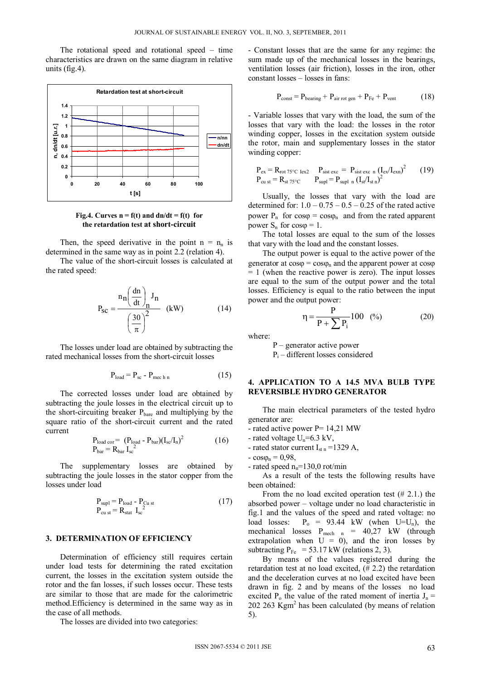The rotational speed and rotational speed – time characteristics are drawn on the same diagram in relative units (fig.4).



**Fig.4.** Curves  $n = f(t)$  and  $dn/dt = f(t)$  for **the retardation test at short-circuit**

Then, the speed derivative in the point  $n = n_n$  is determined in the same way as in point 2.2 (relation 4).

The value of the short-circuit losses is calculated at the rated speed:

$$
P_{SC} = \frac{n_n \left(\frac{dn}{dt}\right)_n J_n}{\left(\frac{30}{\pi}\right)^2} \quad (kW)
$$
 (14)

The losses under load are obtained by subtracting the rated mechanical losses from the short-circuit losses

$$
P_{load} = P_{sc} - P_{mech n}
$$
 (15)

The corrected losses under load are obtained by subtracting the joule losses in the electrical circuit up to the short-circuiting breaker  $P_{bare}$  and multiplying by the square ratio of the short-circuit current and the rated current

$$
Pload cor = (Pload - Pbar)(Isc/In)2
$$
  
\n
$$
Pbar = RbarIsc2
$$
 (16)

The supplementary losses are obtained by subtracting the joule losses in the stator copper from the losses under load

$$
P_{\text{supl}} = P_{\text{load}} - P_{\text{Cu st}}
$$
  
\n
$$
P_{\text{cu st}} = R_{\text{stat}} I_{\text{sc}}^2
$$
\n(17)

## **3. DETERMINATION OF EFFICIENCY**

Determination of efficiency still requires certain under load tests for determining the rated excitation current, the losses in the excitation system outside the rotor and the fan losses, if such losses occur. These tests are similar to those that are made for the calorimetric method.Efficiency is determined in the same way as in the case of all methods.

The losses are divided into two categories:

- Constant losses that are the same for any regime: the sum made up of the mechanical losses in the bearings, ventilation losses (air friction), losses in the iron, other constant losses – losses in fans:

$$
P_{\text{const}} = P_{\text{bearing}} + P_{\text{air rot gen}} + P_{\text{Fe}} + P_{\text{vent}}
$$
 (18)

- Variable losses that vary with the load, the sum of the losses that vary with the load: the losses in the rotor winding copper, losses in the excitation system outside the rotor, main and supplementary losses in the stator winding copper:

$$
P_{ex} = R_{rot 75\degree C \text{ lex2}} \t P_{sist \text{ exc}} = P_{sist \text{ exc n}} (I_{ex} / I_{exn})^2 \t (19)
$$
  
\n
$$
P_{cu \text{ st}} = R_{st 75\degree C} \t P_{supl} = P_{supl \text{ n}} (I_{st} / I_{stn})^2
$$

Usually, the losses that vary with the load are determined for:  $1.0 - 0.75 - 0.5 - 0.25$  of the rated active power  $P_n$  for  $cos\varphi = cos\varphi_n$  and from the rated apparent power  $S_n$  for  $cos \varphi = 1$ .

The total losses are equal to the sum of the losses that vary with the load and the constant losses.

The output power is equal to the active power of the generator at  $cos\varphi = cos\varphi_n$  and the apparent power at  $cos\varphi$ = 1 (when the reactive power is zero). The input losses are equal to the sum of the output power and the total losses. Efficiency is equal to the ratio between the input power and the output power:

$$
\eta = \frac{P}{P + \sum P_i} 100 \quad (*) \tag{20}
$$

where:

 P – generator active power  $P_i$  – different losses considered

# **4. APPLICATION TO A 14.5 MVA BULB TYPE REVERSIBLE HYDRO GENERATOR**

The main electrical parameters of the tested hydro generator are:

- rated active power P= 14,21 MW
- rated voltage  $U_n=6.3$  kV,
- rated stator current  $I_{\rm st\,n}$  =1329 A,
- $-cos\varphi_n = 0.98$ ,

- rated speed  $n_n=130,0$  rot/min

As a result of the tests the following results have been obtained:

From the no load excited operation test  $(\# 2.1)$  the absorbed power – voltage under no load characteristic in fig.1 and the values of the speed and rated voltage: no load losses:  $P_0 = 93.44$  kW (when U=U<sub>n</sub>), the mechanical losses  $P_{mech}$  n = 40,27 kW (through extrapolation when  $U = 0$ , and the iron losses by subtracting  $P_{Fe}$  = 53.17 kW (relations 2, 3).

By means of the values registered during the retardation test at no load excited, (# 2.2) the retardation and the deceleration curves at no load excited have been drawn in fig. 2 and by means of the losses no load excited  $P_0$  the value of the rated moment of inertia  $J_n =$ 202 263 Kgm2 has been calculated (by means of relation 5).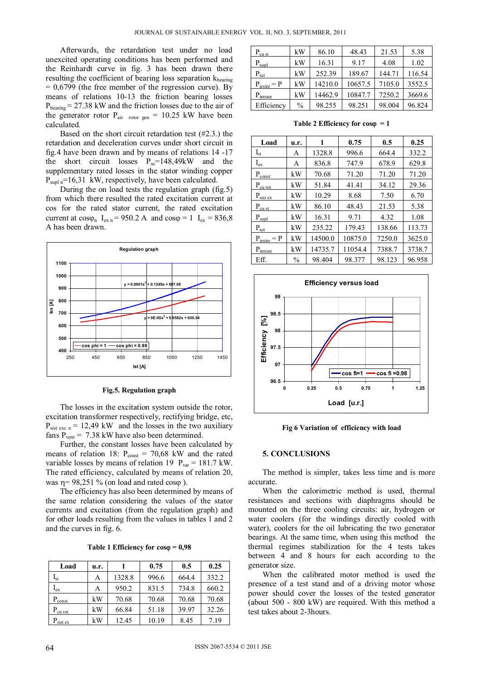Afterwards, the retardation test under no load unexcited operating conditions has been performed and the Reinhardt curve in fig. 3 has been drawn there resulting the coefficient of bearing loss separation  $k_{\text{hearing}}$  $= 0.6799$  (the free member of the regression curve). By means of relations 10-13 the friction bearing losses  $P_{\text{bearing}}$  = 27.38 kW and the friction losses due to the air of the generator rotor  $P_{air}$  rotor gen = 10.25 kW have been calculated.

Based on the short circuit retardation test (#2.3.) the retardation and deceleration curves under short circuit in fig.4 have been drawn and by means of relations 14 -17 the short circuit losses  $P_{\text{sc}}=148,49kW$  and the supplementary rated losses in the stator winding copper  $P_{\text{supl}}$  n=16,31 kW, respectively, have been calculated.

During the on load tests the regulation graph (fig.5) from which there resulted the rated excitation current at cos for the rated stator current, the rated excitation current at  $cos\varphi_n$  I<sub>ex n</sub> = 950.2 A and  $cos\varphi = 1$  I<sub>ex</sub> = 836,8 A has been drawn.



**Fig.5. Regulation graph** 

The losses in the excitation system outside the rotor, excitation transformer respectively, rectifying bridge, etc,  $P_{\text{sist exc n}} = 12,49$  kW and the losses in the two auxiliary fans  $P_{vent}$  = 7.38 kW have also been determined.

Further, the constant losses have been calculated by means of relation 18:  $P_{const} = 70,68$  kW and the rated variable losses by means of relation 19  $P_{var} = 181.7$  kW. The rated efficiency, calculated by means of relation 20, was  $n = 98.251 \%$  (on load and rated coso).

The efficiency has also been determined by means of the same relation considering the values of the stator currents and excitation (from the regulation graph) and for other loads resulting from the values in tables 1 and 2 and the curves in fig. 6.

| Load                  | u.r. |        | 0.75  | 0.5   | 0.25  |
|-----------------------|------|--------|-------|-------|-------|
| $I_{st}$              | Α    | 1328.8 | 996.6 | 664.4 | 332.2 |
| $I_{ex}$              | Α    | 950.2  | 831.5 | 734.8 | 660.2 |
| $P_{\text{const}}$    | kW   | 70.68  | 70.68 | 70.68 | 70.68 |
| $\rm P_{\rm cu\ rot}$ | kW   | 66.84  | 51.18 | 39.97 | 32.26 |
| $P_{\text{sist ex}}$  | kW   | 12.45  | 10.19 | 8.45  | 7.19  |

| $P_{\rm cu \; st}$      | kW            | 86.10   | 48.43   | 21.53  | 5.38   |
|-------------------------|---------------|---------|---------|--------|--------|
| $P_{\text{supl}}$       | kW            | 16.31   | 9.17    | 4.08   | 1.02   |
| $P_{\text{tot}}$        | kW            | 252.39  | 189.67  | 144.71 | 116.54 |
| $P_{\text{iesire}} = P$ | kW            | 14210.0 | 10657.5 | 7105.0 | 3552.5 |
| $P_{intrace}$           | kW            | 14462.9 | 10847.7 | 7250.2 | 3669.6 |
| Efficiency              | $\frac{0}{0}$ | 98.255  | 98.251  | 98.004 | 96.824 |

**Table 2 Efficiency for cos = 1** 

| Load                         | u.r.          | 1       | 0.75    | 0.5    | 0.25   |
|------------------------------|---------------|---------|---------|--------|--------|
| $I_{st}$                     | А             | 1328.8  | 996.6   | 664.4  | 332.2  |
| $I_{ex}$                     | A             | 836.8   | 747.9   | 678.9  | 629.8  |
| $P_{\text{const}}$           | kW            | 70.68   | 71.20   | 71.20  | 71.20  |
| $P_{\underline{cu\, rot}}$   | kW            | 51.84   | 41.41   | 34.12  | 29.36  |
| $P_{sist ex}$                | kW            | 10.29   | 8.68    | 7.50   | 6.70   |
| $P_{\text{cu st}}$           | kW            | 86.10   | 48.43   | 21.53  | 5.38   |
| $P_{\text{sub}}$             | kW            | 16.31   | 9.71    | 4.32   | 1.08   |
| $P_{\underline{\text{tot}}}$ | kW            | 235.22  | 179.43  | 138.66 | 113.73 |
| $P_{\text{iesire}} = P$      | kW            | 14500.0 | 10875.0 | 7250.0 | 3625.0 |
| $P_{in trace}$               | kW            | 14735.7 | 11054.4 | 7388.7 | 3738.7 |
| Eff.                         | $\frac{0}{0}$ | 98.404  | 98.377  | 98.123 | 96.958 |



**Fig 6 Variation of efficiency with load** 

# **5. CONCLUSIONS**

The method is simpler, takes less time and is more accurate.

When the calorimetric method is used, thermal resistances and sections with diaphragms should be mounted on the three cooling circuits: air, hydrogen or water coolers (for the windings directly cooled with water), coolers for the oil lubricating the two generator bearings. At the same time, when using this method the thermal regimes stabilization for the 4 tests takes between 4 and 8 hours for each according to the generator size.

When the calibrated motor method is used the presence of a test stand and of a driving motor whose power should cover the losses of the tested generator (about 500 - 800 kW) are required. With this method a test takes about 2-3hours.